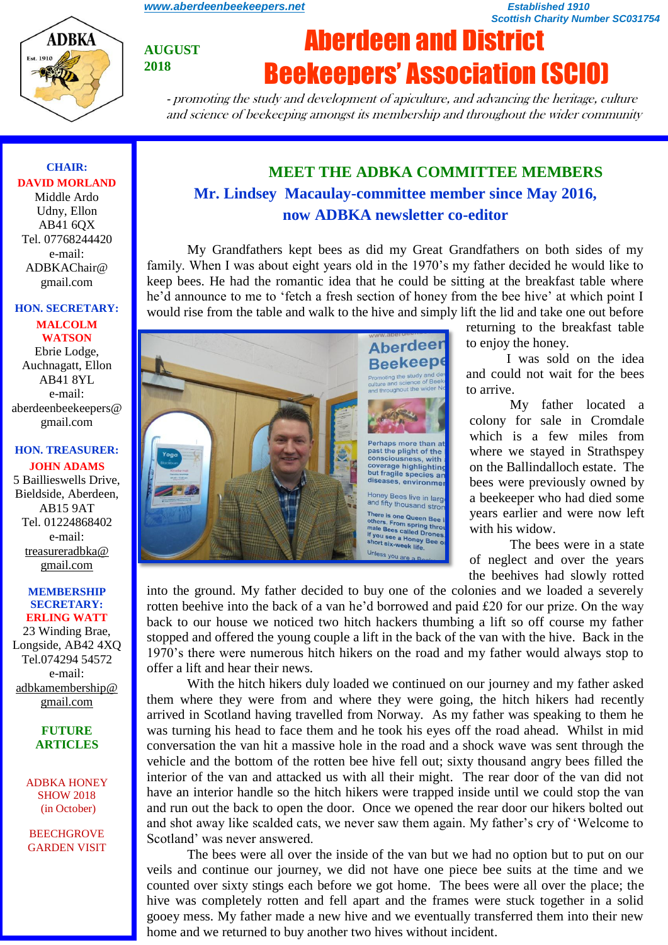*[www.aberdeenbeekeepers.net](http://www.aberdeenbeekeepers.net/) Established 1910* 

*Scottish Charity Number SC031754*



**AUGUST 2018**

# Aberdeen and District Beekeepers' Association (SCIO)

- promoting the study and development of apiculture, and advancing the heritage, culture and science of beekeeping amongst its membership and throughout the wider community

# **CHAIR: DAVID MORLAND**

Middle Ardo Udny, Ellon AB41 6QX Tel. 07768244420 e-mail: ADBKAChair@ gmail.com

### **HON. SECRETARY:**

**MALCOLM WATSON** Ebrie Lodge, Auchnagatt, Ellon AB41 8YL e-mail: aberdeenbeekeepers@ gmail.com

# **HON. TREASURER:**

**JOHN ADAMS** 5 Baillieswells Drive, Bieldside, Aberdeen, AB15 9AT Tel. 01224868402 e-mail: [treasureradbka@](https://e.mail.ru/compose/?mailto=mailto%3atreasureradbka@gmail.com)  [gmail.com](https://e.mail.ru/compose/?mailto=mailto%3atreasureradbka@gmail.com)

#### **MEMBERSHIP SECRETARY: ERLING WATT**

23 Winding Brae, Longside, AB42 4XQ Tel.074294 54572 e-mail: [adbkamembership@](mailto:watterlingg@aol.com) [gmail.com](mailto:watterlingg@aol.com)

#### **FUTURE ARTICLES**

ADBKA HONEY SHOW 2018 (in October)

BEECHGROVE GARDEN VISIT

# **MEET THE ADBKA COMMITTEE MEMBERS Mr. Lindsey Macaulay-committee member since May 2016, now ADBKA newsletter co-editor**

My Grandfathers kept bees as did my Great Grandfathers on both sides of my family. When I was about eight years old in the 1970's my father decided he would like to keep bees. He had the romantic idea that he could be sitting at the breakfast table where he'd announce to me to 'fetch a fresh section of honey from the bee hive' at which point I would rise from the table and walk to the hive and simply lift the lid and take one out before



returning to the breakfast table to enjoy the honey.

I was sold on the idea and could not wait for the bees to arrive.

My father located a colony for sale in Cromdale which is a few miles from where we stayed in Strathspey on the Ballindalloch estate. The bees were previously owned by a beekeeper who had died some years earlier and were now left with his widow.

The bees were in a state of neglect and over the years the beehives had slowly rotted

into the ground. My father decided to buy one of the colonies and we loaded a severely rotten beehive into the back of a van he'd borrowed and paid £20 for our prize. On the way back to our house we noticed two hitch hackers thumbing a lift so off course my father stopped and offered the young couple a lift in the back of the van with the hive. Back in the 1970's there were numerous hitch hikers on the road and my father would always stop to offer a lift and hear their news.

With the hitch hikers duly loaded we continued on our journey and my father asked them where they were from and where they were going, the hitch hikers had recently arrived in Scotland having travelled from Norway. As my father was speaking to them he was turning his head to face them and he took his eyes off the road ahead. Whilst in mid conversation the van hit a massive hole in the road and a shock wave was sent through the vehicle and the bottom of the rotten bee hive fell out; sixty thousand angry bees filled the interior of the van and attacked us with all their might. The rear door of the van did not have an interior handle so the hitch hikers were trapped inside until we could stop the van and run out the back to open the door. Once we opened the rear door our hikers bolted out and shot away like scalded cats, we never saw them again. My father's cry of 'Welcome to Scotland' was never answered.

The bees were all over the inside of the van but we had no option but to put on our veils and continue our journey, we did not have one piece bee suits at the time and we counted over sixty stings each before we got home. The bees were all over the place; the hive was completely rotten and fell apart and the frames were stuck together in a solid gooey mess. My father made a new hive and we eventually transferred them into their new home and we returned to buy another two hives without incident.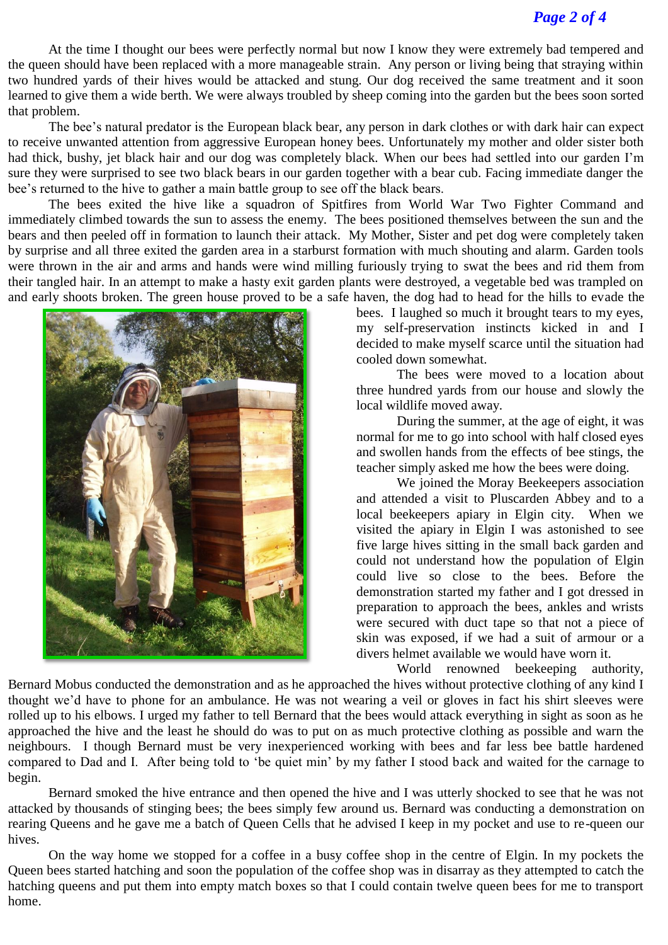# *Page 2 of 4*

At the time I thought our bees were perfectly normal but now I know they were extremely bad tempered and the queen should have been replaced with a more manageable strain. Any person or living being that straying within two hundred yards of their hives would be attacked and stung. Our dog received the same treatment and it soon learned to give them a wide berth. We were always troubled by sheep coming into the garden but the bees soon sorted that problem.

The bee's natural predator is the European black bear, any person in dark clothes or with dark hair can expect to receive unwanted attention from aggressive European honey bees. Unfortunately my mother and older sister both had thick, bushy, jet black hair and our dog was completely black. When our bees had settled into our garden I'm sure they were surprised to see two black bears in our garden together with a bear cub. Facing immediate danger the bee's returned to the hive to gather a main battle group to see off the black bears.

The bees exited the hive like a squadron of Spitfires from World War Two Fighter Command and immediately climbed towards the sun to assess the enemy. The bees positioned themselves between the sun and the bears and then peeled off in formation to launch their attack. My Mother, Sister and pet dog were completely taken by surprise and all three exited the garden area in a starburst formation with much shouting and alarm. Garden tools were thrown in the air and arms and hands were wind milling furiously trying to swat the bees and rid them from their tangled hair. In an attempt to make a hasty exit garden plants were destroyed, a vegetable bed was trampled on and early shoots broken. The green house proved to be a safe haven, the dog had to head for the hills to evade the



bees. I laughed so much it brought tears to my eyes, my self-preservation instincts kicked in and I decided to make myself scarce until the situation had cooled down somewhat.

The bees were moved to a location about three hundred yards from our house and slowly the local wildlife moved away.

During the summer, at the age of eight, it was normal for me to go into school with half closed eyes and swollen hands from the effects of bee stings, the teacher simply asked me how the bees were doing.

We joined the Moray Beekeepers association and attended a visit to Pluscarden Abbey and to a local beekeepers apiary in Elgin city. When we visited the apiary in Elgin I was astonished to see five large hives sitting in the small back garden and could not understand how the population of Elgin could live so close to the bees. Before the demonstration started my father and I got dressed in preparation to approach the bees, ankles and wrists were secured with duct tape so that not a piece of skin was exposed, if we had a suit of armour or a divers helmet available we would have worn it.

World renowned beekeeping authority,

Bernard Mobus conducted the demonstration and as he approached the hives without protective clothing of any kind I thought we'd have to phone for an ambulance. He was not wearing a veil or gloves in fact his shirt sleeves were rolled up to his elbows. I urged my father to tell Bernard that the bees would attack everything in sight as soon as he approached the hive and the least he should do was to put on as much protective clothing as possible and warn the neighbours. I though Bernard must be very inexperienced working with bees and far less bee battle hardened compared to Dad and I. After being told to 'be quiet min' by my father I stood back and waited for the carnage to begin.

Bernard smoked the hive entrance and then opened the hive and I was utterly shocked to see that he was not attacked by thousands of stinging bees; the bees simply few around us. Bernard was conducting a demonstration on rearing Queens and he gave me a batch of Queen Cells that he advised I keep in my pocket and use to re-queen our hives.

On the way home we stopped for a coffee in a busy coffee shop in the centre of Elgin. In my pockets the Queen bees started hatching and soon the population of the coffee shop was in disarray as they attempted to catch the hatching queens and put them into empty match boxes so that I could contain twelve queen bees for me to transport home.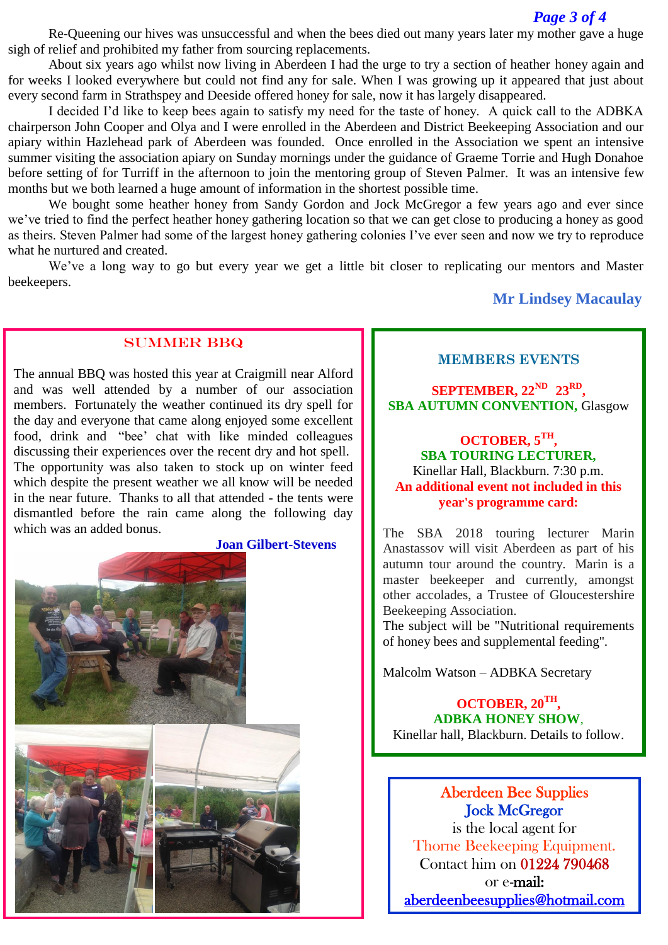Re-Queening our hives was unsuccessful and when the bees died out many years later my mother gave a huge sigh of relief and prohibited my father from sourcing replacements.

About six years ago whilst now living in Aberdeen I had the urge to try a section of heather honey again and for weeks I looked everywhere but could not find any for sale. When I was growing up it appeared that just about every second farm in Strathspey and Deeside offered honey for sale, now it has largely disappeared.

I decided I'd like to keep bees again to satisfy my need for the taste of honey. A quick call to the ADBKA chairperson John Cooper and Olya and I were enrolled in the Aberdeen and District Beekeeping Association and our apiary within Hazlehead park of Aberdeen was founded. Once enrolled in the Association we spent an intensive summer visiting the association apiary on Sunday mornings under the guidance of Graeme Torrie and Hugh Donahoe before setting of for Turriff in the afternoon to join the mentoring group of Steven Palmer. It was an intensive few months but we both learned a huge amount of information in the shortest possible time.

We bought some heather honey from Sandy Gordon and Jock McGregor a few years ago and ever since we've tried to find the perfect heather honey gathering location so that we can get close to producing a honey as good as theirs. Steven Palmer had some of the largest honey gathering colonies I've ever seen and now we try to reproduce what he nurtured and created.

We've a long way to go but every year we get a little bit closer to replicating our mentors and Master beekeepers.

# **Mr Lindsey Macaulay**

### SUMMER BBQ

The annual BBQ was hosted this year at Craigmill near Alford and was well attended by a number of our association members. Fortunately the weather continued its dry spell for the day and everyone that came along enjoyed some excellent food, drink and "bee' chat with like minded colleagues discussing their experiences over the recent dry and hot spell. The opportunity was also taken to stock up on winter feed which despite the present weather we all know will be needed in the near future. Thanks to all that attended - the tents were dismantled before the rain came along the following day which was an added bonus.





#### **MEMBERS EVENTS**

**SEPTEMBER, 22ND 23RD , SBA AUTUMN CONVENTION,** Glasgow

## **OCTOBER, 5TH , SBA TOURING LECTURER,** Kinellar Hall, Blackburn. 7:30 p.m. **An additional event not included in this year's programme card:**

The SBA 2018 touring lecturer Marin Anastassov will visit Aberdeen as part of his autumn tour around the country. Marin is a master beekeeper and currently, amongst other accolades, a Trustee of Gloucestershire Beekeeping Association.

The subject will be "Nutritional requirements of honey bees and supplemental feeding".

Malcolm Watson – ADBKA Secretary

**OCTOBER, 20TH , ADBKA HONEY SHOW**, Kinellar hall, Blackburn. Details to follow.

Aberdeen Bee Supplies Jock McGregor is the local agent for Thorne Beekeeping Equipment. Contact him on 01224 790468

or e-mail: [aberdeenbeesupplies@hotmail.com](mailto:aberdeenbeesupplies@hotmail.com)